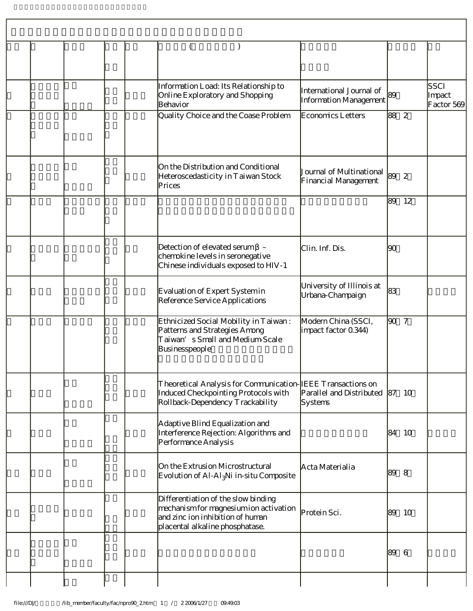|  |  | Information Load: Its Relationship to<br>Online Exploratory and Shopping<br>Behavior                                                                 | International Journal of<br>Information Management | 89    |    | SSCI<br>Impact<br>Factor 569 |
|--|--|------------------------------------------------------------------------------------------------------------------------------------------------------|----------------------------------------------------|-------|----|------------------------------|
|  |  | Quality Choice and the Coase Problem                                                                                                                 | <b>Economics Letters</b>                           | 88 2  |    |                              |
|  |  | On the Distribution and Conditional<br>Heteroscedasticity in Taiwan Stock<br>Prices                                                                  | Journal of Multinational<br>Financial Management   | 89    | 2  |                              |
|  |  |                                                                                                                                                      |                                                    | 89    | 12 |                              |
|  |  | Detection of elevated serum -<br>chemokine levels in seronegative<br>Chinese individuals exposed to HIV-1                                            | Clin. Inf. Dis.                                    | 90    |    |                              |
|  |  | Evaluation of Expert Systemin<br>Reference Service Applications                                                                                      | University of Illinois at<br>Urbana-Champaign      | 83    |    |                              |
|  |  | Ethnicized Social Mobility in Taiwan:<br>Patterns and Strategies Among<br>Taiwan's Small and Medium-Scale<br>Businesspeople                          | Modern China (SSCI,<br>impact factor 0.344)        | 90 7  |    |                              |
|  |  | Theoretical Analysis for Communication-IEEE Transactions on<br>Induced Checkpointing Protocols with<br>Rollback-Dependency Trackability              | Parallel and Distributed 87 10<br>Systems          |       |    |                              |
|  |  | Adaptive Blind Equalization and<br>Interference Rejection: Algorithms and<br>Performance Analysis                                                    |                                                    | 84 10 |    |                              |
|  |  | On the Extrusion Microstructural<br>Evolution of Al-Al <sub>3</sub> Ni in-situ Composite                                                             | Acta Materialia                                    | 89    | -8 |                              |
|  |  | Differentiation of the slow binding<br>mechanism for magnesium ion activation<br>and zinc ion inhibition of human<br>placental alkaline phosphatase. | Protein Sci.                                       | 89    | 10 |                              |
|  |  |                                                                                                                                                      |                                                    | 89    | -6 |                              |
|  |  |                                                                                                                                                      |                                                    |       |    |                              |